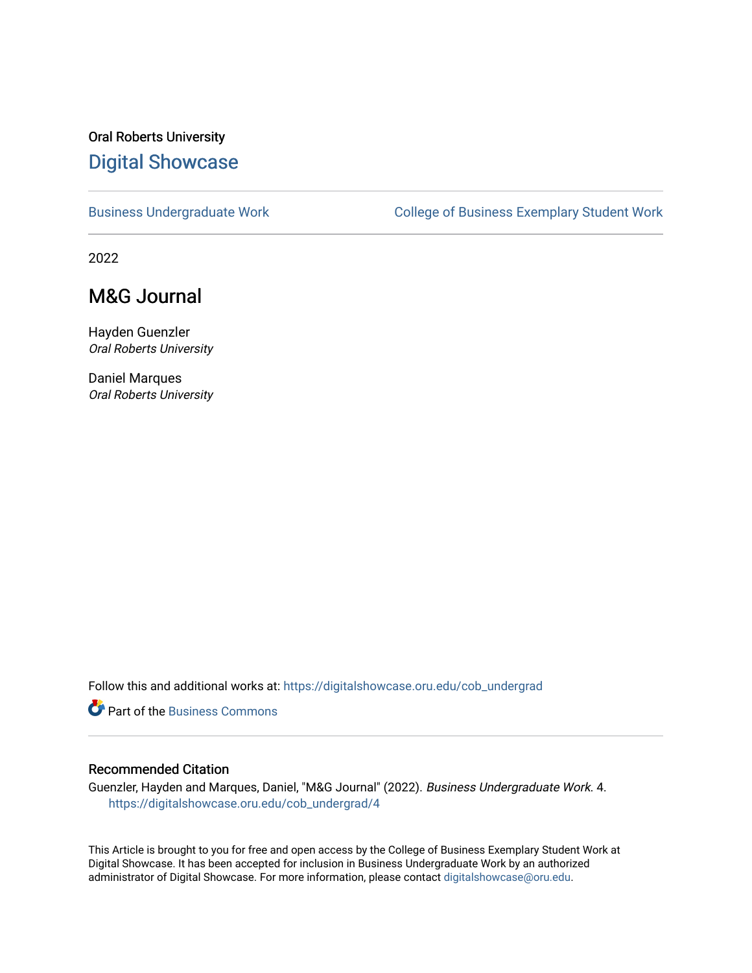#### Oral Roberts University [Digital Showcase](https://digitalshowcase.oru.edu/)

[Business Undergraduate Work](https://digitalshowcase.oru.edu/cob_undergrad) College of Business Exemplary Student Work

2022

#### M&G Journal

Hayden Guenzler Oral Roberts University

Daniel Marques Oral Roberts University

Follow this and additional works at: [https://digitalshowcase.oru.edu/cob\\_undergrad](https://digitalshowcase.oru.edu/cob_undergrad?utm_source=digitalshowcase.oru.edu%2Fcob_undergrad%2F4&utm_medium=PDF&utm_campaign=PDFCoverPages)

**P** Part of the [Business Commons](http://network.bepress.com/hgg/discipline/622?utm_source=digitalshowcase.oru.edu%2Fcob_undergrad%2F4&utm_medium=PDF&utm_campaign=PDFCoverPages)

#### Recommended Citation

Guenzler, Hayden and Marques, Daniel, "M&G Journal" (2022). Business Undergraduate Work. 4. [https://digitalshowcase.oru.edu/cob\\_undergrad/4](https://digitalshowcase.oru.edu/cob_undergrad/4?utm_source=digitalshowcase.oru.edu%2Fcob_undergrad%2F4&utm_medium=PDF&utm_campaign=PDFCoverPages)

This Article is brought to you for free and open access by the College of Business Exemplary Student Work at Digital Showcase. It has been accepted for inclusion in Business Undergraduate Work by an authorized administrator of Digital Showcase. For more information, please contact [digitalshowcase@oru.edu.](mailto:digitalshowcase@oru.edu)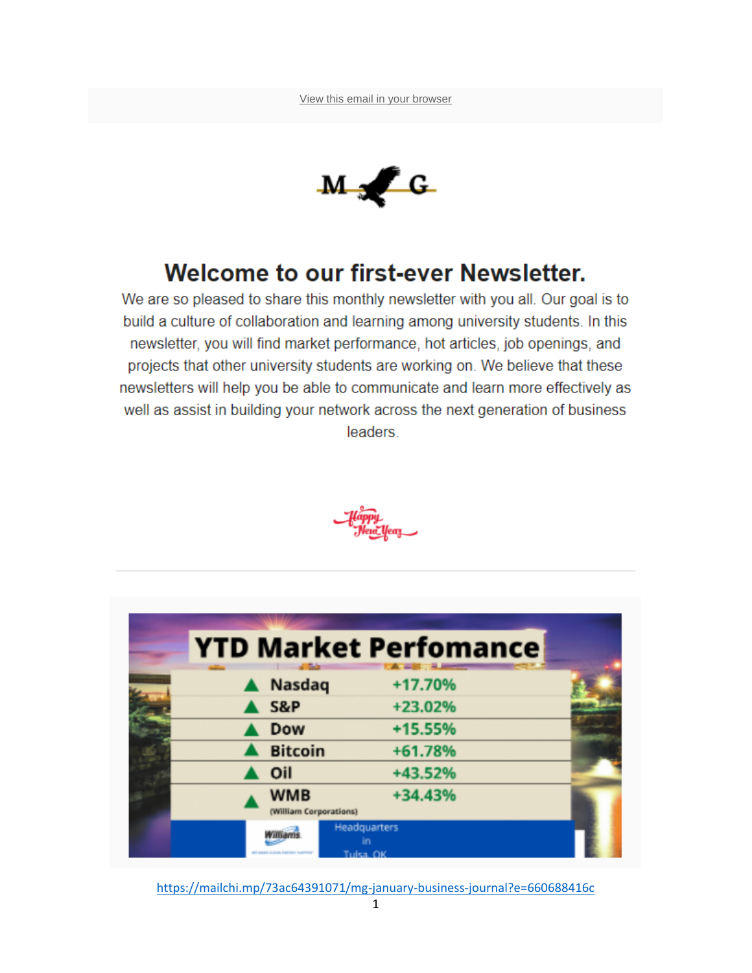

# Welcome to our first-ever Newsletter.

We are so pleased to share this monthly newsletter with you all. Our goal is to build a culture of collaboration and learning among university students. In this newsletter, you will find market performance, hot articles, job openings, and projects that other university students are working on. We believe that these newsletters will help you be able to communicate and learn more effectively as well as assist in building your network across the next generation of business leaders.



| <b>YTD Market Perfomance</b>         |                    |  |
|--------------------------------------|--------------------|--|
| <b>Nasdaq</b>                        | +17.70%            |  |
| S&P                                  | +23.02%            |  |
| Dow                                  | +15.55%            |  |
| <b>Bitcoin</b>                       | +61.78%            |  |
| Oil                                  | +43.52%            |  |
| <b>WMB</b><br>(William Corporations) | +34.43%            |  |
|                                      | Headquarters<br>ĩn |  |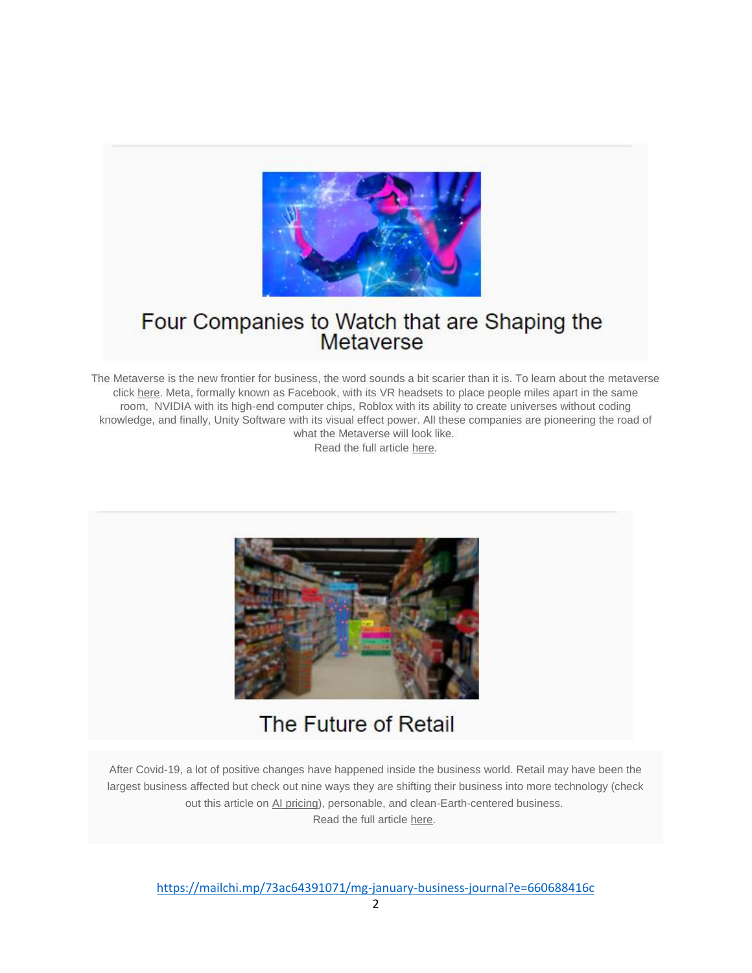

### Four Companies to Watch that are Shaping the Metaverse

The Metaverse is the new frontier for business, the word sounds a bit scarier than it is. To learn about the metaverse click [here.](https://www.usatoday.com/story/tech/2021/11/10/metaverse-what-is-it-explained-facebook-microsoft-meta-vr/6337635001/) Meta, formally known as Facebook, with its VR headsets to place people miles apart in the same room, NVIDIA with its high-end computer chips, Roblox with its ability to create universes without coding knowledge, and finally, Unity Software with its visual effect power. All these companies are pioneering the road of what the Metaverse will look like.

Read the full article [here.](https://finance.yahoo.com/news/jim-cramer-metaverse-coming-4-224600563.html)



# The Future of Retail

After Covid-19, a lot of positive changes have happened inside the business world. Retail may have been the largest business affected but check out nine ways they are shifting their business into more technology (check out this article on [AI pricing\)](https://www.forbes.com/sites/bryanpearson/2021/09/07/personalizing-price-with-ai-how-walmart-kroger-do-it/?sh=e05f60a2eb22), personable, and clean-Earth-centered business. Read the full article [here.](https://www.forbes.com/sites/bryanpearson/2021/12/23/looking-back-and-ahead-what-weve-learned-from-2021-retail/?sh=5f7096459d8e)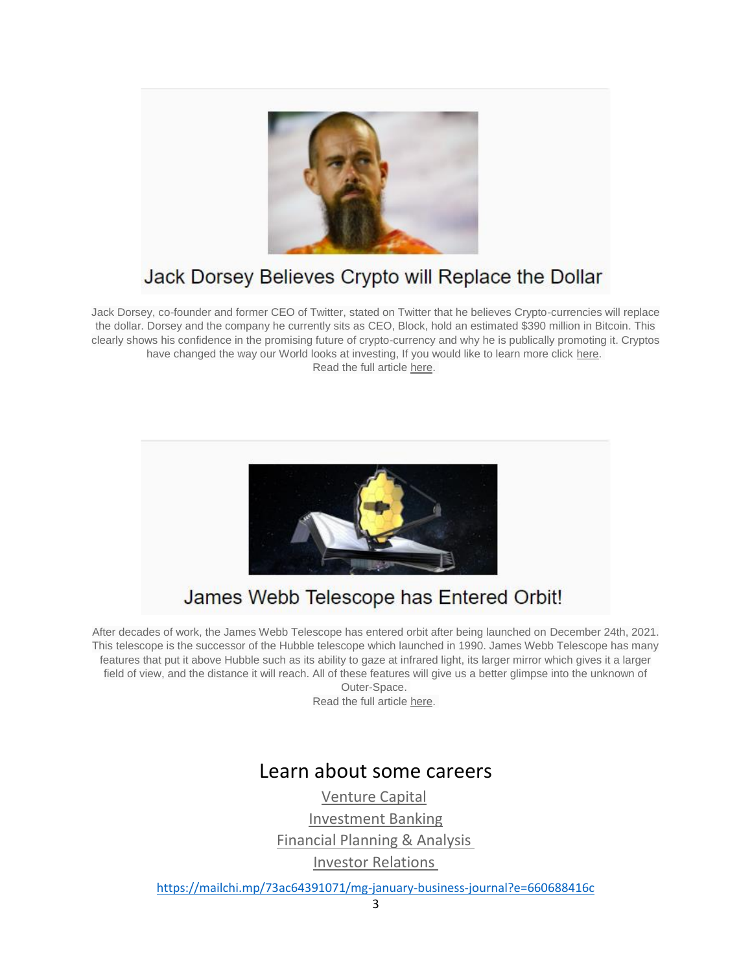

# Jack Dorsey Believes Crypto will Replace the Dollar

Jack Dorsey, co-founder and former CEO of Twitter, stated on Twitter that he believes Crypto-currencies will replace the dollar. Dorsey and the company he currently sits as CEO, Block, hold an estimated \$390 million in Bitcoin. This clearly shows his confidence in the promising future of crypto-currency and why he is publically promoting it. Cryptos have changed the way our World looks at investing, If you would like to learn more click [here.](https://www.toptal.com/finance/market-research-analysts/cryptocurrency-market) Read the full article [here.](https://fortune.com/2021/12/21/crypto-replace-dollar-jack-dorsey/)



# James Webb Telescope has Entered Orbit!

After decades of work, the James Webb Telescope has entered orbit after being launched on December 24th, 2021. This telescope is the successor of the Hubble telescope which launched in 1990. James Webb Telescope has many features that put it above Hubble such as its ability to gaze at infrared light, its larger mirror which gives it a larger field of view, and the distance it will reach. All of these features will give us a better glimpse into the unknown of

Outer-Space. Read the full article [here.](https://www.nbcnews.com/specials/webb-telescope-launch/index.html)

#### Learn about some careers

[Venture Capital](https://hbr.org/1998/11/how-venture-capital-works) [Investment Banking](https://www.investopedia.com/terms/i/investment-banking.asp) [Financial Planning & Analysis](https://corporatefinanceinstitute.com/resources/careers/jobs/financial-planning-and-analysis-fpa/) [Investor Relations](https://corporatefinanceinstitute.com/resources/careers/jobs/role-of-investor-relations-ir/)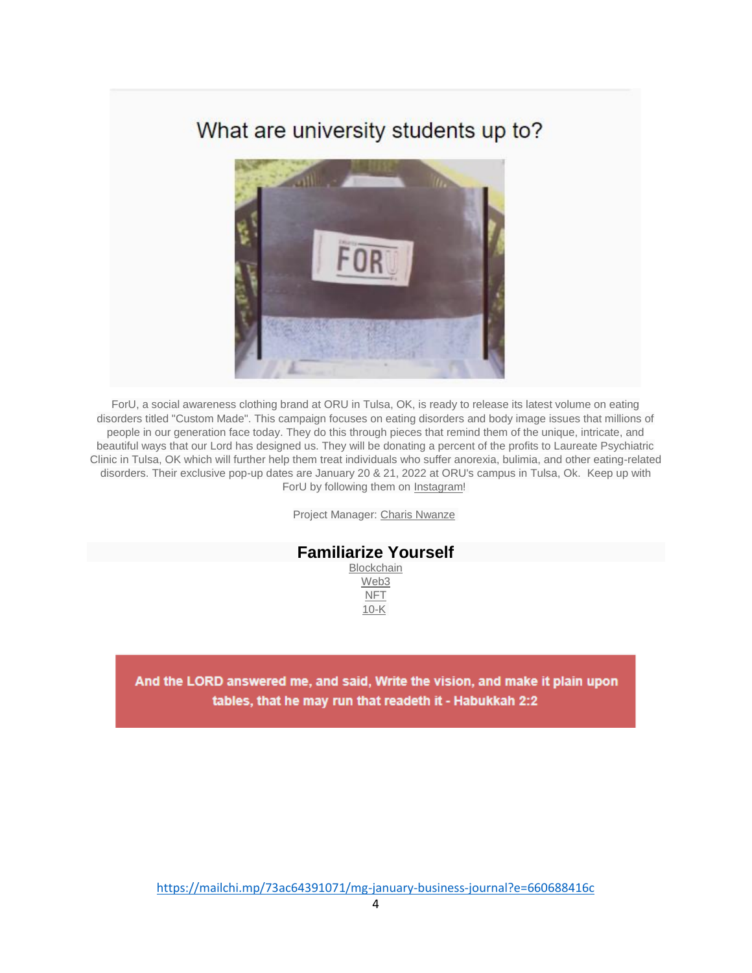### What are university students up to?



ForU, a social awareness clothing brand at ORU in Tulsa, OK, is ready to release its latest volume on eating disorders titled "Custom Made". This campaign focuses on eating disorders and body image issues that millions of people in our generation face today. They do this through pieces that remind them of the unique, intricate, and beautiful ways that our Lord has designed us. They will be donating a percent of the profits to Laureate Psychiatric Clinic in Tulsa, OK which will further help them treat individuals who suffer anorexia, bulimia, and other eating-related disorders. Their exclusive pop-up dates are January 20 & 21, 2022 at ORU's campus in Tulsa, Ok. Keep up with ForU by following them on [Instagram!](https://www.instagram.com/foru.co/?hl=en)

Project Manager: [Charis Nwanze](https://www.linkedin.com/in/charis-nwanze-a57a08208/)

#### **Familiarize Yourself** [Blockchain](https://www.investopedia.com/terms/b/blockchain.asp)

[Web3](https://www.wired.com/story/web3-gavin-wood-interview/) [NFT](https://www.theverge.com/22310188/nft-explainer-what-is-blockchain-crypto-art-faq) [10-K](https://www.investopedia.com/terms/1/10-k.asp)

And the LORD answered me, and said, Write the vision, and make it plain upon tables, that he may run that readeth it - Habukkah 2:2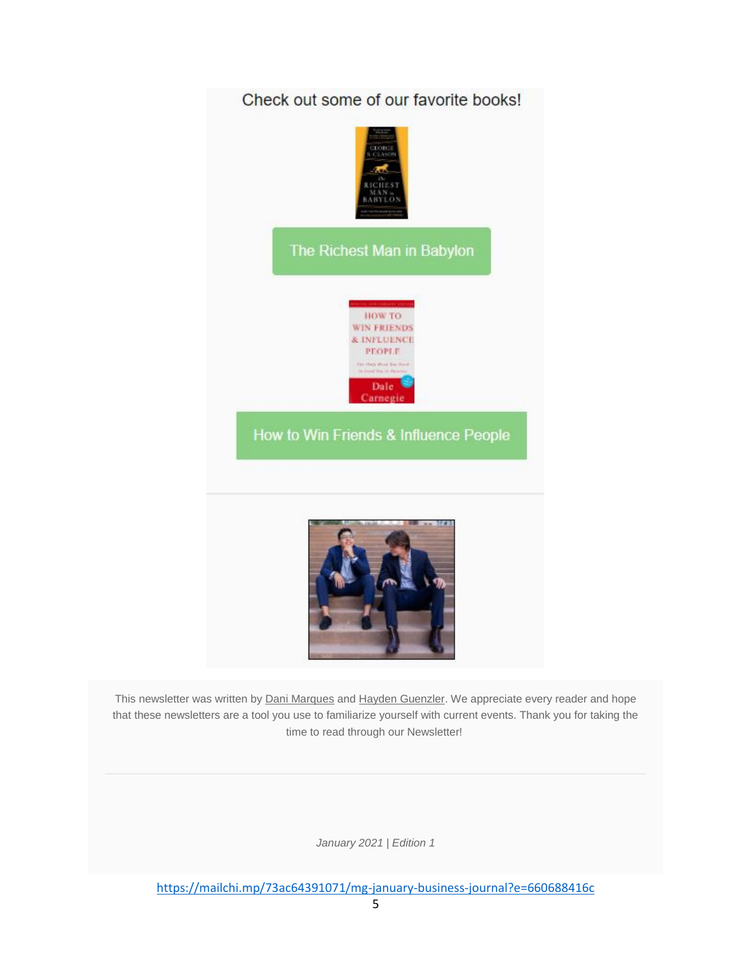

This newsletter was written by [Dani Marques](https://www.linkedin.com/in/daniel-marques-/) and [Hayden Guenzler.](https://www.linkedin.com/in/hayden-guenzler-0877b5194/) We appreciate every reader and hope that these newsletters are a tool you use to familiarize yourself with current events. Thank you for taking the time to read through our Newsletter!

*January 2021 | Edition 1*